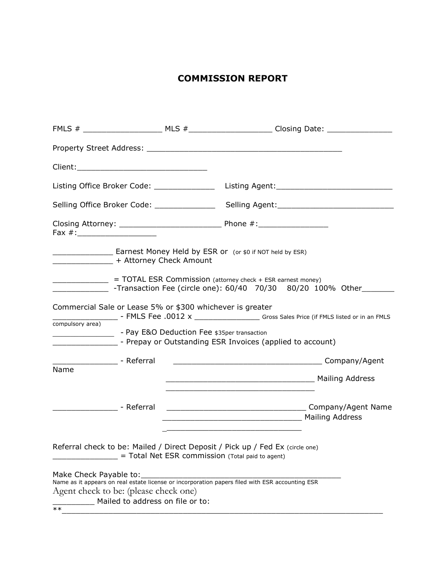## **COMMISSION REPORT**

| Listing Office Broker Code: _______________________Listing Agent:___________________________________                                                                                                                                                                                                                                                                                                                                                                                                                                                                                                                                                                            |                                                                                                                                                                                                                                                                               |  |  |
|---------------------------------------------------------------------------------------------------------------------------------------------------------------------------------------------------------------------------------------------------------------------------------------------------------------------------------------------------------------------------------------------------------------------------------------------------------------------------------------------------------------------------------------------------------------------------------------------------------------------------------------------------------------------------------|-------------------------------------------------------------------------------------------------------------------------------------------------------------------------------------------------------------------------------------------------------------------------------|--|--|
| Selling Office Broker Code: __________________________Selling Agent:_______________________________                                                                                                                                                                                                                                                                                                                                                                                                                                                                                                                                                                             |                                                                                                                                                                                                                                                                               |  |  |
| Fax #:________________________                                                                                                                                                                                                                                                                                                                                                                                                                                                                                                                                                                                                                                                  |                                                                                                                                                                                                                                                                               |  |  |
| _________________________ Earnest Money Held by ESR or (or \$0 if NOT held by ESR)<br>__________________ + Attorney Check Amount<br>= TOTAL ESR Commission (attorney check + ESR earnest money)<br>Commercial Sale or Lease 5% or \$300 whichever is greater<br>Gross Sales Price (if FMLS listed or in an FMLS Fee .0012 x _____________________Gross Sales Price (if FMLS listed or in an FMLS<br>compulsory area)<br>___________________________- Prepay or Outstanding ESR Invoices (applied to account)<br>_____________________ - Referral<br>Name<br><u> 1989 - Johann John Stoff, deutscher Stoffen und der Stoffen und der Stoffen und der Stoffen und der Stoffen</u> |                                                                                                                                                                                                                                                                               |  |  |
| ____________________ - Referral                                                                                                                                                                                                                                                                                                                                                                                                                                                                                                                                                                                                                                                 |                                                                                                                                                                                                                                                                               |  |  |
| Make Check Payable to:                                                                                                                                                                                                                                                                                                                                                                                                                                                                                                                                                                                                                                                          | Referral check to be: Mailed / Direct Deposit / Pick up / Fed Ex (circle one)<br>= Total Net ESR commission (Total paid to agent)<br>Name as it appears on real estate license or incorporation papers filed with ESR accounting ESR<br>Agent check to be: (please check one) |  |  |
| $***$                                                                                                                                                                                                                                                                                                                                                                                                                                                                                                                                                                                                                                                                           | Mailed to address on file or to:                                                                                                                                                                                                                                              |  |  |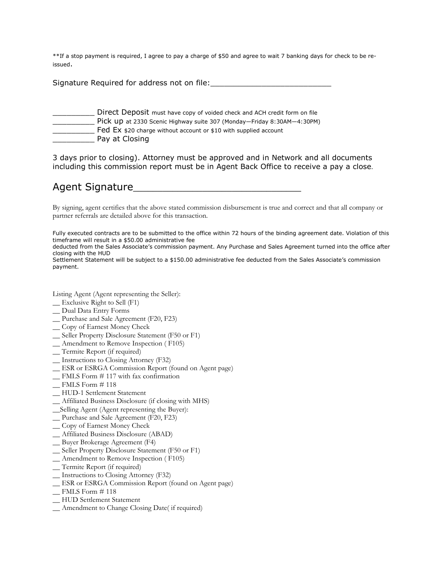\*\*If a stop payment is required, I agree to pay a charge of \$50 and agree to wait 7 banking days for check to be reissued.

Signature Required for address not on file:

- \_\_\_\_\_\_\_\_\_ Direct Deposit must have copy of voided check and ACH credit form on file
	- \_\_\_\_\_\_\_\_\_ Pick up at 2330 Scenic Highway suite 307 (Monday—Friday 8:30AM—4:30PM)
- **EX \$20 charge without account or \$10 with supplied account**
- **Example 2** Pay at Closing

3 days prior to closing). Attorney must be approved and in Network and all documents including this commission report must be in Agent Back Office to receive a pay a close.

## Agent Signature

By signing, agent certifies that the above stated commission disbursement is true and correct and that all company or partner referrals are detailed above for this transaction.

Fully executed contracts are to be submitted to the office within 72 hours of the binding agreement date. Violation of this timeframe will result in a \$50.00 administrative fee

deducted from the Sales Associate's commission payment. Any Purchase and Sales Agreement turned into the office after closing with the HUD

Settlement Statement will be subject to a \$150.00 administrative fee deducted from the Sales Associate's commission payment.

Listing Agent (Agent representing the Seller):

- \_\_ Exclusive Right to Sell (F1)
- \_\_ Dual Data Entry Forms
- \_\_ Purchase and Sale Agreement (F20, F23)
- \_\_ Copy of Earnest Money Check
- \_\_ Seller Property Disclosure Statement (F50 or F1)
- \_\_ Amendment to Remove Inspection ( F105)
- \_\_ Termite Report (if required)
- \_\_ Instructions to Closing Attorney (F32)
- \_\_ ESR or ESRGA Commission Report (found on Agent page)
- \_\_ FMLS Form # 117 with fax confirmation
- $\_$  FMLS Form  $# 118$
- \_\_ HUD-1 Settlement Statement
- \_\_ Affiliated Business Disclosure (if closing with MHS)
- \_\_Selling Agent (Agent representing the Buyer):
- \_\_ Purchase and Sale Agreement (F20, F23)
- \_\_ Copy of Earnest Money Check
- \_\_ Affiliated Business Disclosure (ABAD)
- \_\_ Buyer Brokerage Agreement (F4)
- \_\_ Seller Property Disclosure Statement (F50 or F1)
- \_\_ Amendment to Remove Inspection ( F105)
- \_\_ Termite Report (if required)
- \_\_ Instructions to Closing Attorney (F32)
- \_\_ ESR or ESRGA Commission Report (found on Agent page)
- $\_$  FMLS Form #118
- \_\_ HUD Settlement Statement
- \_\_ Amendment to Change Closing Date( if required)